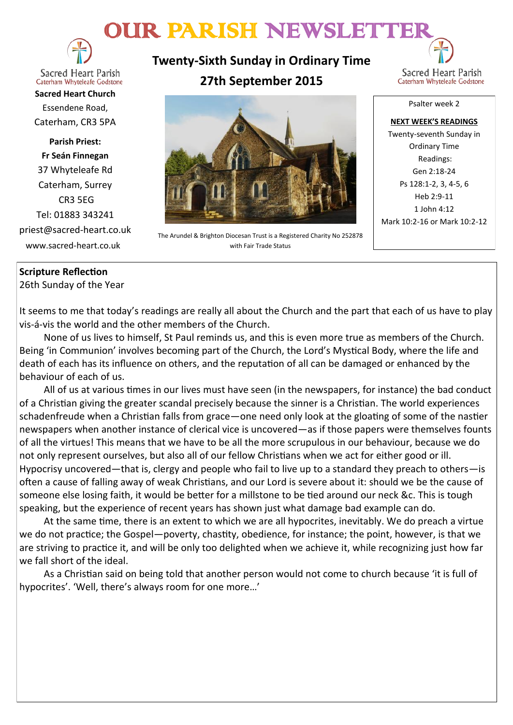# OUR PARISH NEWSLETTER



**Sacred Heart Parish** Caterham Whyteleafe Godstone

**Sacred Heart Church** Essendene Road, Caterham, CR3 5PA

**Parish Priest: Fr Seán Finnegan** 37 Whyteleafe Rd Caterham, Surrey CR3 5EG Tel: 01883 343241 priest@sacred-heart.co.uk www.sacred-heart.co.uk

### **Twenty-Sixth Sunday in Ordinary Time 27th September 2015**



The Arundel & Brighton Diocesan Trust is a Registered Charity No 252878 with Fair Trade Status

Psalter week 2

**NEXT WEEK'S READINGS** Twenty-seventh Sunday in Ordinary Time Readings: Gen 2:18-24 Ps 128:1-2, 3, 4-5, 6 Heb 2:9-11 1 John 4:12 Mark 10:2-16 or Mark 10:2-12

#### **Scripture Reflection**

26th Sunday of the Year

It seems to me that today's readings are really all about the Church and the part that each of us have to play vis-á-vis the world and the other members of the Church.

None of us lives to himself, St Paul reminds us, and this is even more true as members of the Church. Being 'in Communion' involves becoming part of the Church, the Lord's Mystical Body, where the life and death of each has its influence on others, and the reputation of all can be damaged or enhanced by the behaviour of each of us.

All of us at various times in our lives must have seen (in the newspapers, for instance) the bad conduct of a Christian giving the greater scandal precisely because the sinner is a Christian. The world experiences schadenfreude when a Christian falls from grace—one need only look at the gloating of some of the nastier newspapers when another instance of clerical vice is uncovered—as if those papers were themselves founts of all the virtues! This means that we have to be all the more scrupulous in our behaviour, because we do not only represent ourselves, but also all of our fellow Christians when we act for either good or ill. Hypocrisy uncovered—that is, clergy and people who fail to live up to a standard they preach to others—is often a cause of falling away of weak Christians, and our Lord is severe about it: should we be the cause of someone else losing faith, it would be better for a millstone to be tied around our neck &c. This is tough speaking, but the experience of recent years has shown just what damage bad example can do.

At the same time, there is an extent to which we are all hypocrites, inevitably. We do preach a virtue we do not practice; the Gospel—poverty, chastity, obedience, for instance; the point, however, is that we are striving to practice it, and will be only too delighted when we achieve it, while recognizing just how far we fall short of the ideal.

As a Christian said on being told that another person would not come to church because 'it is full of hypocrites'. 'Well, there's always room for one more…'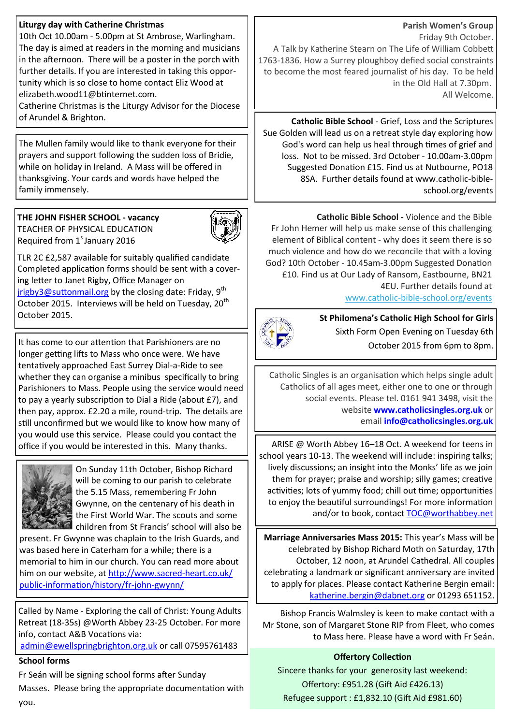#### **Liturgy day with Catherine Christmas**

10th Oct 10.00am - 5.00pm at St Ambrose, Warlingham. The day is aimed at readers in the morning and musicians in the afternoon. There will be a poster in the porch with further details. If you are interested in taking this opportunity which is so close to home contact Eliz Wood at elizabeth.wood11@btinternet.com.

Catherine Christmas is the Liturgy Advisor for the Diocese of Arundel & Brighton.

The Mullen family would like to thank everyone for their prayers and support following the sudden loss of Bridie, while on holiday in Ireland. A Mass will be offered in thanksgiving. Your cards and words have helped the family immensely.

#### **THE JOHN FISHER SCHOOL - vacancy** TEACHER OF PHYSICAL EDUCATION

Required from  $1<sup>s</sup>$  January 2016



TLR 2C £2,587 available for suitably qualified candidate Completed application forms should be sent with a covering letter to Janet Rigby, Office Manager on [jrigby3@suttonmail.org](mailto:jrigby3@suttonmail.org) by the closing date: Friday, 9<sup>th</sup> October 2015. Interviews will be held on Tuesday, 20<sup>th</sup> October 2015. **St Philomena's Catholic High School for Girls**

It has come to our attention that Parishioners are no longer getting lifts to Mass who once were. We have tentatively approached East Surrey Dial-a-Ride to see whether they can organise a minibus specifically to bring Parishioners to Mass. People using the service would need to pay a yearly subscription to Dial a Ride (about £7), and then pay, approx. £2.20 a mile, round-trip. The details are still unconfirmed but we would like to know how many of you would use this service. Please could you contact the office if you would be interested in this. Many thanks.



On Sunday 11th October, Bishop Richard will be coming to our parish to celebrate the 5.15 Mass, remembering Fr John Gwynne, on the centenary of his death in the First World War. The scouts and some children from St Francis' school will also be

present. Fr Gwynne was chaplain to the Irish Guards, and was based here in Caterham for a while; there is a memorial to him in our church. You can read more about him on our website, at [http://www.sacred](http://www.sacred-heart.co.uk/public-information/history/fr-john-gwynn/)-heart.co.uk/ public-[information/history/fr](http://www.sacred-heart.co.uk/public-information/history/fr-john-gwynn/)-john-gwynn/

Called by Name - Exploring the call of Christ: Young Adults Retreat (18-35s) @Worth Abbey 23-25 October. For more info, contact A&B Vocations via: [admin@ewellspringbrighton.org.uk](mailto:admin@ewellspringbrighton.org.uk) or call 07595761483

#### **School forms**

Fr Seán will be signing school forms after Sunday Masses. Please bring the appropriate documentation with you.

#### **Parish Women's Group**

Friday 9th October. A Talk by Katherine Stearn on The Life of William Cobbett 1763-1836. How a Surrey ploughboy defied social constraints to become the most feared journalist of his day. To be held in the Old Hall at 7.30pm. All Welcome.

**Catholic Bible School** - Grief, Loss and the Scriptures Sue Golden will lead us on a retreat style day exploring how God's word can help us heal through times of grief and loss. Not to be missed. 3rd October - 10.00am-3.00pm Suggested Donation £15. Find us at Nutbourne, PO18 8SA. Further details found at www.catholic-bibleschool.org/events

**Catholic Bible School -** Violence and the Bible Fr John Hemer will help us make sense of this challenging element of Biblical content - why does it seem there is so much violence and how do we reconcile that with a loving God? 10th October - 10.45am-3.00pm Suggested Donation £10. Find us at Our Lady of Ransom, Eastbourne, BN21 4EU. Further details found at www.catholic-bible-[school.org/events](http://www.catholic-bible-school.org/events)



Sixth Form Open Evening on Tuesday 6th October 2015 from 6pm to 8pm.

Catholic Singles is an organisation which helps single adult Catholics of all ages meet, either one to one or through social events. Please tel. 0161 941 3498, visit the website **[www.catholicsingles.org.uk](http://www.catholicsingles.org.uk/)** or email **[info@catholicsingles.org.uk](mailto:info@catholicsingles.org.uk)**

ARISE @ Worth Abbey 16–18 Oct. A weekend for teens in school years 10-13. The weekend will include: inspiring talks; lively discussions; an insight into the Monks' life as we join them for prayer; praise and worship; silly games; creative activities; lots of yummy food; chill out time; opportunities to enjoy the beautiful surroundings! For more information and/or to book, contact [TOC@worthabbey.net](mailto:TOC@worthabbey.net)

**Marriage Anniversaries Mass 2015:** This year's Mass will be celebrated by Bishop Richard Moth on Saturday, 17th October, 12 noon, at Arundel Cathedral. All couples celebrating a landmark or significant anniversary are invited to apply for places. Please contact Katherine Bergin email: [katherine.bergin@dabnet.org](mailto:katherine.bergin@dabnet.org) or 01293 651152.

Bishop Francis Walmsley is keen to make contact with a Mr Stone, son of Margaret Stone RIP from Fleet, who comes to Mass here. Please have a word with Fr Seán.

#### **Offertory Collection**

Sincere thanks for your generosity last weekend: Offertory: £951.28 (Gift Aid £426.13) Refugee support : £1,832.10 (Gift Aid £981.60)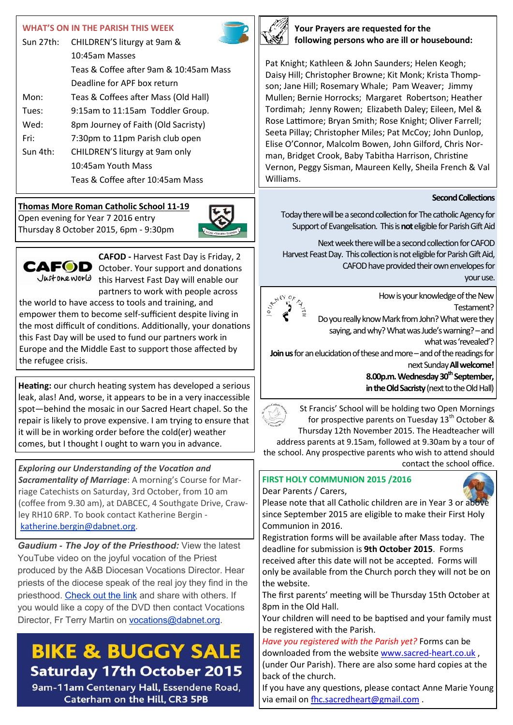#### **WHAT'S ON IN THE PARISH THIS WEEK**

| Sun $27th:$ | CHILDREN'S liturgy at 9am &            |  |
|-------------|----------------------------------------|--|
|             | 10:45am Masses                         |  |
|             | Teas & Coffee after 9am & 10:45am Mass |  |
|             | Deadline for APF box return            |  |
| Mon:        | Teas & Coffees after Mass (Old Hall)   |  |
| Tues:       | 9:15am to 11:15am Toddler Group.       |  |
| Wed:        | 8pm Journey of Faith (Old Sacristy)    |  |
| Fri:        | 7:30pm to 11pm Parish club open        |  |
| Sun 4th:    | CHILDREN'S liturgy at 9am only         |  |
|             | 10:45am Youth Mass                     |  |
|             | Teas & Coffee after 10:45am Mass       |  |

#### **Thomas More Roman Catholic School 11-19**

Open evening for Year 7 2016 entry Thursday 8 October 2015, 6pm - 9:30pm





**CAFOD -** Harvest Fast Day is Friday, 2 CAFOD October. Your support and donations Just one world this Harvest Fast Day will enable our partners to work with people across

the world to have access to tools and training, and empower them to become self-sufficient despite living in the most difficult of conditions. Additionally, your donations this Fast Day will be used to fund our partners work in Europe and the Middle East to support those affected by the refugee crisis.

**Heating:** our church heating system has developed a serious leak, alas! And, worse, it appears to be in a very inaccessible spot—behind the mosaic in our Sacred Heart chapel. So the repair is likely to prove expensive. I am trying to ensure that it will be in working order before the cold(er) weather comes, but I thought I ought to warn you in advance.

*Exploring our Understanding of the Vocation and Sacramentality of Marriage*: A morning's Course for Marriage Catechists on Saturday, 3rd October, from 10 am (coffee from 9.30 am), at DABCEC, 4 Southgate Drive, Crawley RH10 6RP. To book contact Katherine Bergin [katherine.bergin@dabnet.org.](mailto:katherine.bergin@dabnet.org?subject=Marriage%20Course%203%20October)

*Gaudium - The Joy of the Priesthood:* View the latest YouTube video on the joyful vocation of the Priest produced by the A&B Diocesan Vocations Director. Hear priests of the diocese speak of the real joy they find in the priesthood. [Check out the link](http://x4io.mj.am/link/x4io/ngr3uj4/11/wTRDKn0mub4L7W0q9A1fIw/aHR0cHM6Ly93d3cueW91dHViZS5jb20vd2F0Y2g_dj1RY3ZsaHNUTkVtdyZmZWF0dXJlPXlvdXR1LmJl) and share with others. If you would like a copy of the DVD then contact Vocations Director, Fr Terry Martin on **vocations@dabnet.org**.

## **BIKE & BUGGY SALE Saturday 17th October 2015**

9am-11am Centenary Hall, Essendene Road, Caterham on the Hill, CR3 5PB



**Your Prayers are requested for the following persons who are ill or housebound:**

Pat Knight; Kathleen & John Saunders; Helen Keogh; Daisy Hill; Christopher Browne; Kit Monk; Krista Thompson; Jane Hill; Rosemary Whale; Pam Weaver; Jimmy Mullen; Bernie Horrocks; Margaret Robertson; Heather Tordimah; Jenny Rowen; Elizabeth Daley; Eileen, Mel & Rose Lattimore; Bryan Smith; Rose Knight; Oliver Farrell; Seeta Pillay; Christopher Miles; Pat McCoy; John Dunlop, Elise O'Connor, Malcolm Bowen, John Gilford, Chris Norman, Bridget Crook, Baby Tabitha Harrison, Christine Vernon, Peggy Sisman, Maureen Kelly, Sheila French & Val Williams.

#### **Second Collections**

Today there will be a second collection for The catholic Agency for Support of Evangelisation. This is **not** eligible for Parish Gift Aid

Next week there will be a second collection for CAFOD Harvest Feast Day. This collection is not eligible for Parish Gift Aid, CAFOD have provided their own envelopes for your use.



How is your knowledge of the New Testament?

Do you really know Mark from John? What were they saying, and why? What was Jude's warning? - and

what was 'revealed'?

**Join us** for an elucidation of these and more – and of the readings for next Sunday **All welcome!** 

> **8.00p.m. Wednesday 30th September, in the Old Sacristy** (next to the Old Hall)

St Francis' School will be holding two Open Mornings for prospective parents on Tuesday 13<sup>th</sup> October & Thursday 12th November 2015. The Headteacher will

address parents at 9.15am, followed at 9.30am by a tour of the school. Any prospective parents who wish to attend should

contact the school office.

#### **FIRST HOLY COMMUNION 2015 /2016**  Dear Parents / Carers,



Please note that all Catholic children are in Year 3 or above since September 2015 are eligible to make their First Holy Communion in 2016.

Registration forms will be available after Mass today. The deadline for submission is **9th October 2015**. Forms received after this date will not be accepted. Forms will only be available from the Church porch they will not be on the website.

The first parents' meeting will be Thursday 15th October at 8pm in the Old Hall.

Your children will need to be baptised and your family must be registered with the Parish.

*Have you registered with the Parish yet?* Forms can be downloaded from the website [www.sacred](http://www.sacred-heart.co.uk)-heart.co.uk , (under Our Parish). There are also some hard copies at the back of the church.

If you have any questions, please contact Anne Marie Young via email on [fhc.sacredheart@gmail.com](mailto:fhc.sacredheart@gmail.com) .